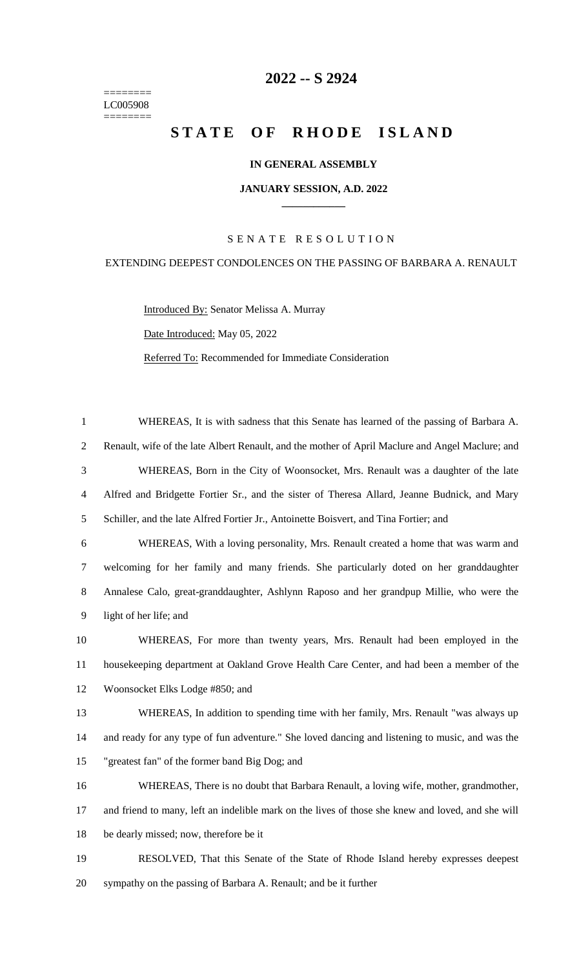======== LC005908 ========

# **-- S 2924**

# **STATE OF RHODE ISLAND**

## **IN GENERAL ASSEMBLY**

#### **JANUARY SESSION, A.D. 2022 \_\_\_\_\_\_\_\_\_\_\_\_**

## S E N A T E R E S O L U T I O N

## EXTENDING DEEPEST CONDOLENCES ON THE PASSING OF BARBARA A. RENAULT

Introduced By: Senator Melissa A. Murray Date Introduced: May 05, 2022 Referred To: Recommended for Immediate Consideration

 WHEREAS, It is with sadness that this Senate has learned of the passing of Barbara A. Renault, wife of the late Albert Renault, and the mother of April Maclure and Angel Maclure; and WHEREAS, Born in the City of Woonsocket, Mrs. Renault was a daughter of the late Alfred and Bridgette Fortier Sr., and the sister of Theresa Allard, Jeanne Budnick, and Mary Schiller, and the late Alfred Fortier Jr., Antoinette Boisvert, and Tina Fortier; and WHEREAS, With a loving personality, Mrs. Renault created a home that was warm and welcoming for her family and many friends. She particularly doted on her granddaughter Annalese Calo, great-granddaughter, Ashlynn Raposo and her grandpup Millie, who were the light of her life; and WHEREAS, For more than twenty years, Mrs. Renault had been employed in the housekeeping department at Oakland Grove Health Care Center, and had been a member of the Woonsocket Elks Lodge #850; and WHEREAS, In addition to spending time with her family, Mrs. Renault "was always up and ready for any type of fun adventure." She loved dancing and listening to music, and was the "greatest fan" of the former band Big Dog; and WHEREAS, There is no doubt that Barbara Renault, a loving wife, mother, grandmother, and friend to many, left an indelible mark on the lives of those she knew and loved, and she will 18 be dearly missed; now, therefore be it

 RESOLVED, That this Senate of the State of Rhode Island hereby expresses deepest sympathy on the passing of Barbara A. Renault; and be it further